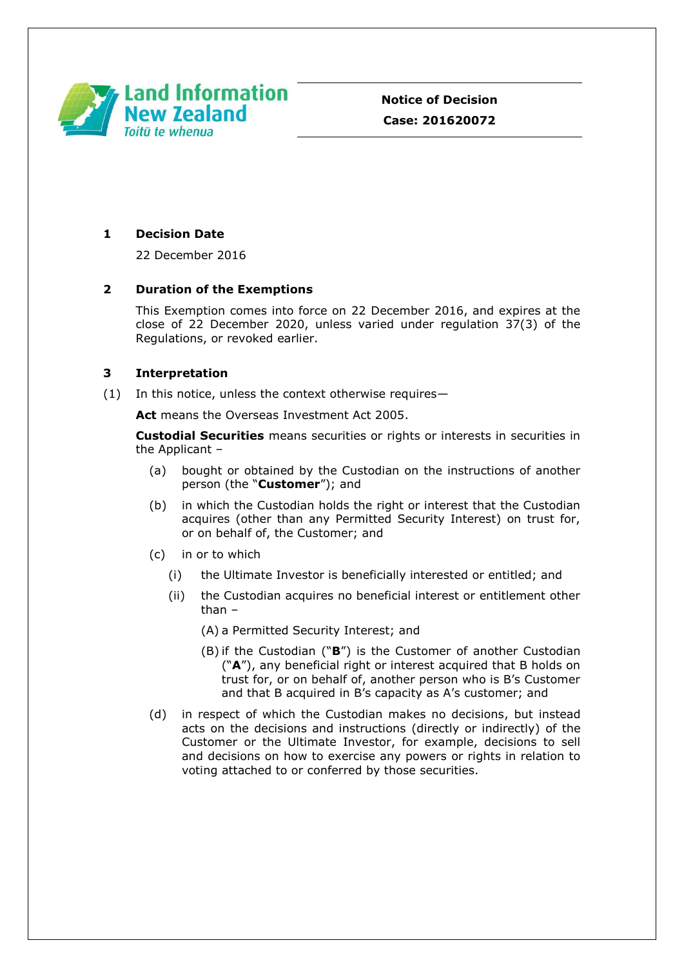

# **1 Decision Date**

22 December 2016

## **2 Duration of the Exemptions**

This Exemption comes into force on 22 December 2016, and expires at the close of 22 December 2020, unless varied under regulation 37(3) of the Regulations, or revoked earlier.

## **3 Interpretation**

(1) In this notice, unless the context otherwise requires—

**Act** means the Overseas Investment Act 2005.

**Custodial Securities** means securities or rights or interests in securities in the Applicant –

- (a) bought or obtained by the Custodian on the instructions of another person (the "**Customer**"); and
- (b) in which the Custodian holds the right or interest that the Custodian acquires (other than any Permitted Security Interest) on trust for, or on behalf of, the Customer; and
- (c) in or to which
	- (i) the Ultimate Investor is beneficially interested or entitled; and
	- (ii) the Custodian acquires no beneficial interest or entitlement other than –
		- (A) a Permitted Security Interest; and
		- (B) if the Custodian ("**B**") is the Customer of another Custodian ("**A**"), any beneficial right or interest acquired that B holds on trust for, or on behalf of, another person who is B's Customer and that B acquired in B's capacity as A's customer; and
- (d) in respect of which the Custodian makes no decisions, but instead acts on the decisions and instructions (directly or indirectly) of the Customer or the Ultimate Investor, for example, decisions to sell and decisions on how to exercise any powers or rights in relation to voting attached to or conferred by those securities.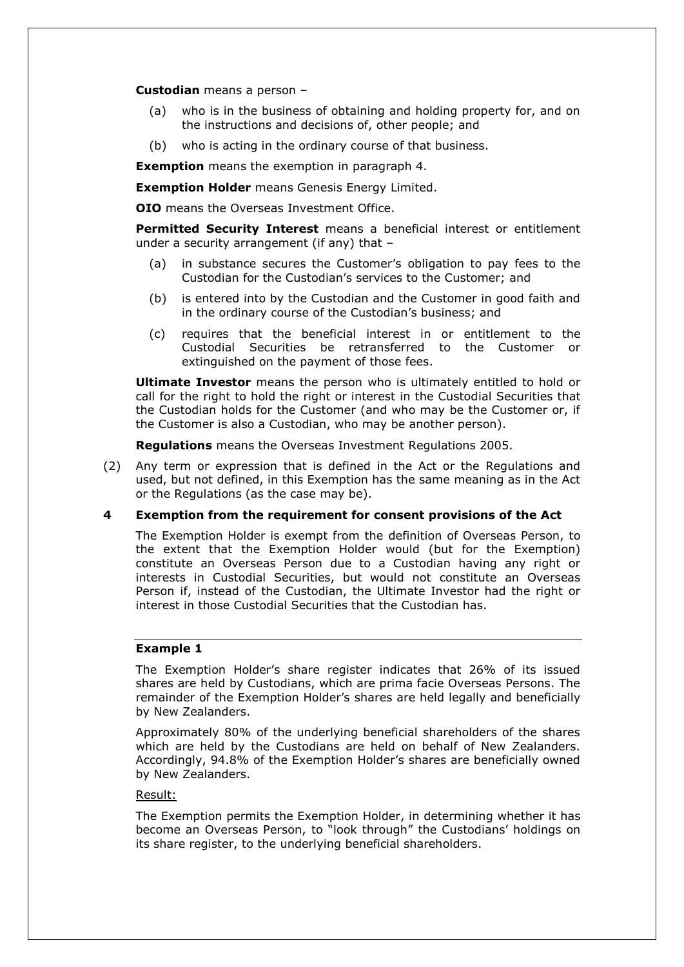**Custodian** means a person –

- (a) who is in the business of obtaining and holding property for, and on the instructions and decisions of, other people; and
- (b) who is acting in the ordinary course of that business.

**Exemption** means the exemption in paragraph 4.

**Exemption Holder** means Genesis Energy Limited.

**OIO** means the Overseas Investment Office.

**Permitted Security Interest** means a beneficial interest or entitlement under a security arrangement (if any) that –

- (a) in substance secures the Customer's obligation to pay fees to the Custodian for the Custodian's services to the Customer; and
- (b) is entered into by the Custodian and the Customer in good faith and in the ordinary course of the Custodian's business; and
- (c) requires that the beneficial interest in or entitlement to the Custodial Securities be retransferred to the Customer or extinguished on the payment of those fees.

**Ultimate Investor** means the person who is ultimately entitled to hold or call for the right to hold the right or interest in the Custodial Securities that the Custodian holds for the Customer (and who may be the Customer or, if the Customer is also a Custodian, who may be another person).

**Regulations** means the Overseas Investment Regulations 2005.

(2) Any term or expression that is defined in the Act or the Regulations and used, but not defined, in this Exemption has the same meaning as in the Act or the Regulations (as the case may be).

## **4 Exemption from the requirement for consent provisions of the Act**

The Exemption Holder is exempt from the definition of Overseas Person, to the extent that the Exemption Holder would (but for the Exemption) constitute an Overseas Person due to a Custodian having any right or interests in Custodial Securities, but would not constitute an Overseas Person if, instead of the Custodian, the Ultimate Investor had the right or interest in those Custodial Securities that the Custodian has.

## **Example 1**

The Exemption Holder's share register indicates that 26% of its issued shares are held by Custodians, which are prima facie Overseas Persons. The remainder of the Exemption Holder's shares are held legally and beneficially by New Zealanders.

Approximately 80% of the underlying beneficial shareholders of the shares which are held by the Custodians are held on behalf of New Zealanders. Accordingly, 94.8% of the Exemption Holder's shares are beneficially owned by New Zealanders.

#### Result:

The Exemption permits the Exemption Holder, in determining whether it has become an Overseas Person, to "look through" the Custodians' holdings on its share register, to the underlying beneficial shareholders.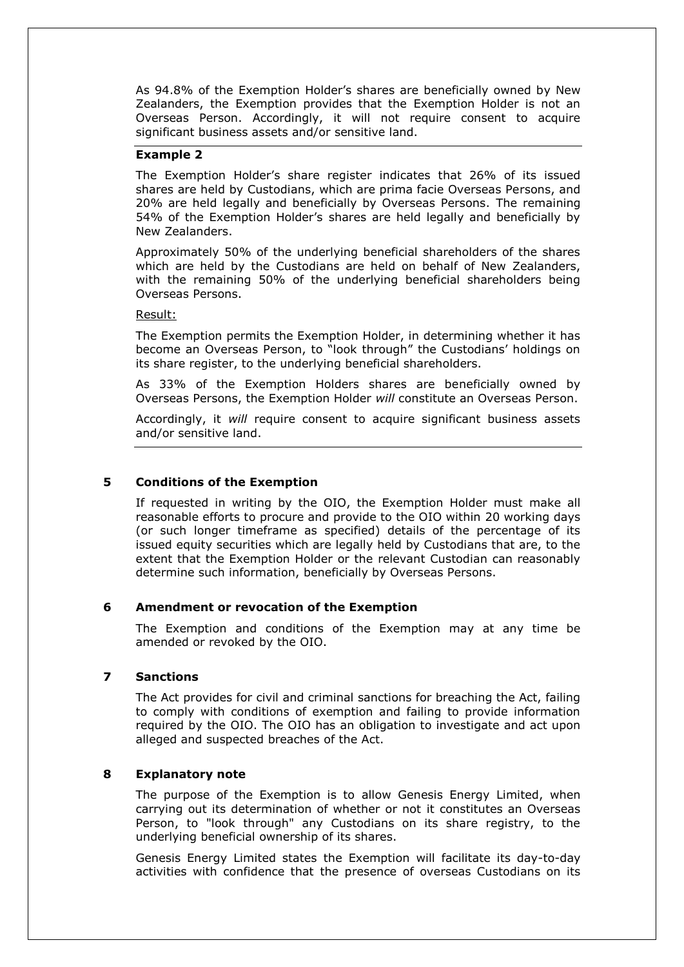As 94.8% of the Exemption Holder's shares are beneficially owned by New Zealanders, the Exemption provides that the Exemption Holder is not an Overseas Person. Accordingly, it will not require consent to acquire significant business assets and/or sensitive land.

#### **Example 2**

The Exemption Holder's share register indicates that 26% of its issued shares are held by Custodians, which are prima facie Overseas Persons, and 20% are held legally and beneficially by Overseas Persons. The remaining 54% of the Exemption Holder's shares are held legally and beneficially by New Zealanders.

Approximately 50% of the underlying beneficial shareholders of the shares which are held by the Custodians are held on behalf of New Zealanders, with the remaining 50% of the underlying beneficial shareholders being Overseas Persons.

#### Result:

The Exemption permits the Exemption Holder, in determining whether it has become an Overseas Person, to "look through" the Custodians' holdings on its share register, to the underlying beneficial shareholders.

As 33% of the Exemption Holders shares are beneficially owned by Overseas Persons, the Exemption Holder *will* constitute an Overseas Person.

Accordingly, it *will* require consent to acquire significant business assets and/or sensitive land.

## **5 Conditions of the Exemption**

If requested in writing by the OIO, the Exemption Holder must make all reasonable efforts to procure and provide to the OIO within 20 working days (or such longer timeframe as specified) details of the percentage of its issued equity securities which are legally held by Custodians that are, to the extent that the Exemption Holder or the relevant Custodian can reasonably determine such information, beneficially by Overseas Persons.

## **6 Amendment or revocation of the Exemption**

The Exemption and conditions of the Exemption may at any time be amended or revoked by the OIO.

## **7 Sanctions**

The Act provides for civil and criminal sanctions for breaching the Act, failing to comply with conditions of exemption and failing to provide information required by the OIO. The OIO has an obligation to investigate and act upon alleged and suspected breaches of the Act.

## **8 Explanatory note**

The purpose of the Exemption is to allow Genesis Energy Limited, when carrying out its determination of whether or not it constitutes an Overseas Person, to "look through" any Custodians on its share registry, to the underlying beneficial ownership of its shares.

Genesis Energy Limited states the Exemption will facilitate its day-to-day activities with confidence that the presence of overseas Custodians on its